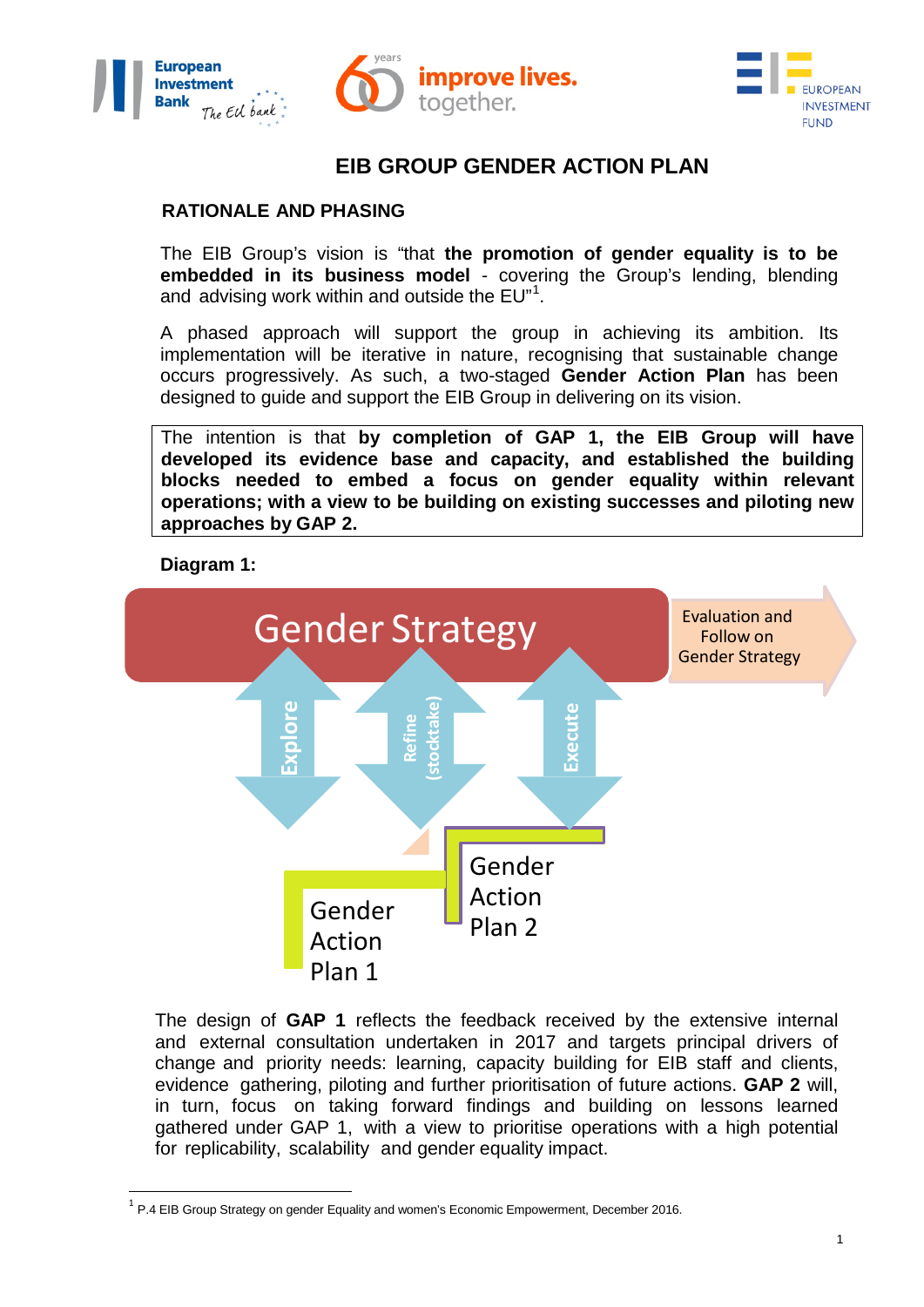





# **EIB GROUP GENDER ACTION PLAN**

## **RATIONALE AND PHASING**

The EIB Group's vision is "that **the promotion of gender equality is to be embedded in its business model** - covering the Group's lending, blending and advising work within and outside the  $\mathsf{EU}^{\scriptscriptstyle n}{}^{!}.$ 

A phased approach will support the group in achieving its ambition. Its implementation will be iterative in nature, recognising that sustainable change occurs progressively. As such, a two-staged **Gender Action Plan** has been designed to guide and support the EIB Group in delivering on its vision.

The intention is that **by completion of GAP 1, the EIB Group will have developed its evidence base and capacity, and established the building blocks needed to embed a focus on gender equality within relevant operations; with a view to be building on existing successes and piloting new approaches by GAP 2.**

#### **Diagram 1:**



The design of **GAP 1** reflects the feedback received by the extensive internal and external consultation undertaken in 2017 and targets principal drivers of change and priority needs: learning, capacity building for EIB staff and clients, evidence gathering, piloting and further prioritisation of future actions. **GAP 2** will, in turn, focus on taking forward findings and building on lessons learned gathered under GAP 1, with a view to prioritise operations with a high potential for replicability, scalability and gender equality impact.

<span id="page-0-0"></span> $1$  P.4 EIB Group Strategy on gender Equality and women's Economic Empowerment, December 2016.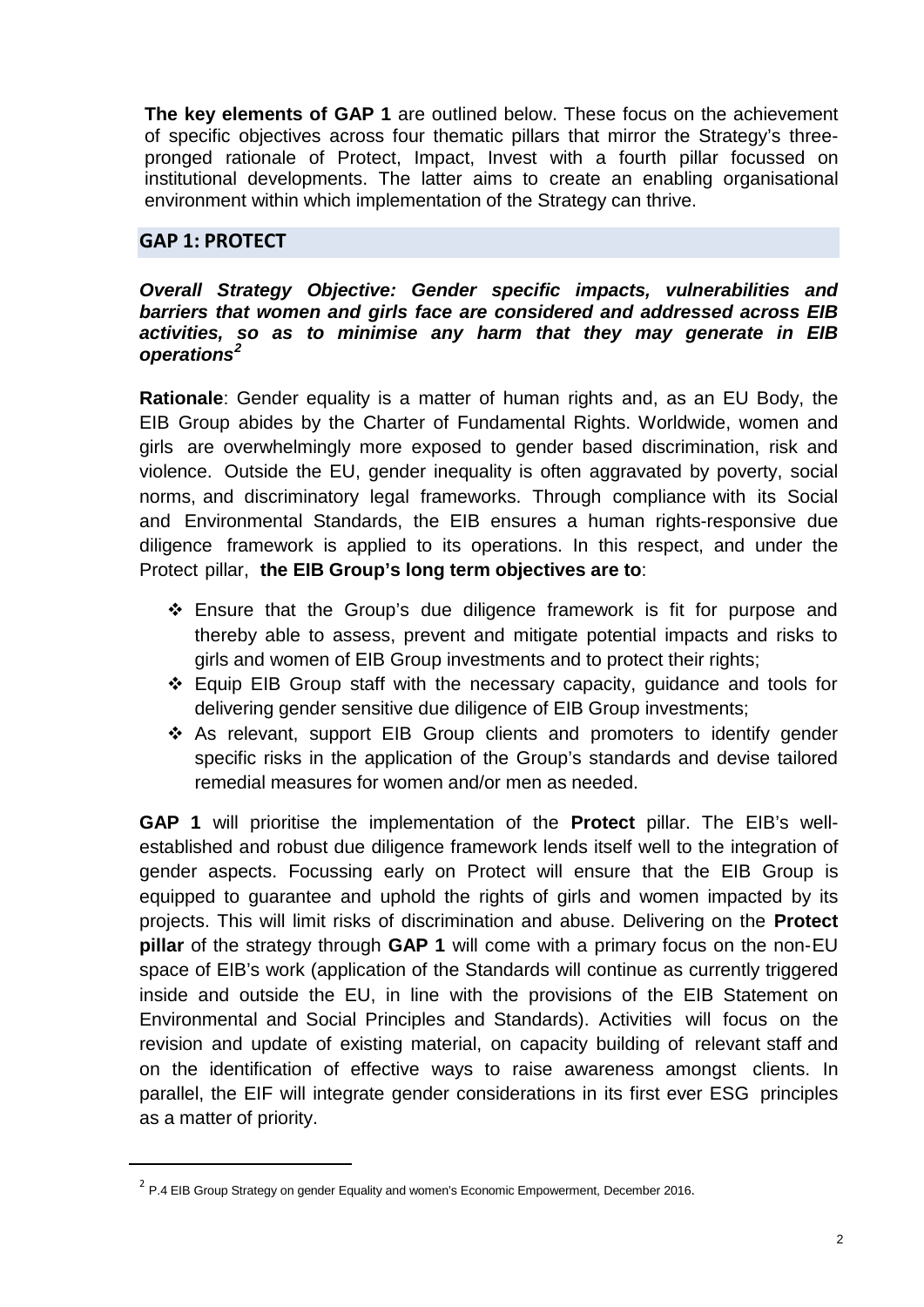**The key elements of GAP 1** are outlined below. These focus on the achievement of specific objectives across four thematic pillars that mirror the Strategy's threepronged rationale of Protect, Impact, Invest with a fourth pillar focussed on institutional developments. The latter aims to create an enabling organisational environment within which implementation of the Strategy can thrive.

## **GAP 1: PROTECT**

<span id="page-1-0"></span> $\overline{a}$ 

#### *Overall Strategy Objective: Gender specific impacts, vulnerabilities and barriers that women and girls face are considered and addressed across EIB activities, so as to minimise any harm that they may generate in EIB operations[2](#page-1-0)*

**Rationale**: Gender equality is a matter of human rights and, as an EU Body, the EIB Group abides by the Charter of Fundamental Rights. Worldwide, women and girls are overwhelmingly more exposed to gender based discrimination, risk and violence. Outside the EU, gender inequality is often aggravated by poverty, social norms, and discriminatory legal frameworks. Through compliance with its Social and Environmental Standards, the EIB ensures a human rights-responsive due diligence framework is applied to its operations. In this respect, and under the Protect pillar, **the EIB Group's long term objectives are to**:

- Ensure that the Group's due diligence framework is fit for purpose and thereby able to assess, prevent and mitigate potential impacts and risks to girls and women of EIB Group investments and to protect their rights;
- Equip EIB Group staff with the necessary capacity, guidance and tools for delivering gender sensitive due diligence of EIB Group investments;
- \* As relevant, support EIB Group clients and promoters to identify gender specific risks in the application of the Group's standards and devise tailored remedial measures for women and/or men as needed.

**GAP 1** will prioritise the implementation of the **Protect** pillar. The EIB's wellestablished and robust due diligence framework lends itself well to the integration of gender aspects. Focussing early on Protect will ensure that the EIB Group is equipped to guarantee and uphold the rights of girls and women impacted by its projects. This will limit risks of discrimination and abuse. Delivering on the **Protect pillar** of the strategy through **GAP 1** will come with a primary focus on the non-EU space of EIB's work (application of the Standards will continue as currently triggered inside and outside the EU, in line with the provisions of the EIB Statement on Environmental and Social Principles and Standards). Activities will focus on the revision and update of existing material, on capacity building of relevant staff and on the identification of effective ways to raise awareness amongst clients. In parallel, the EIF will integrate gender considerations in its first ever ESG principles as a matter of priority.

<sup>&</sup>lt;sup>2</sup> P.4 EIB Group Strategy on gender Equality and women's Economic Empowerment, December 2016.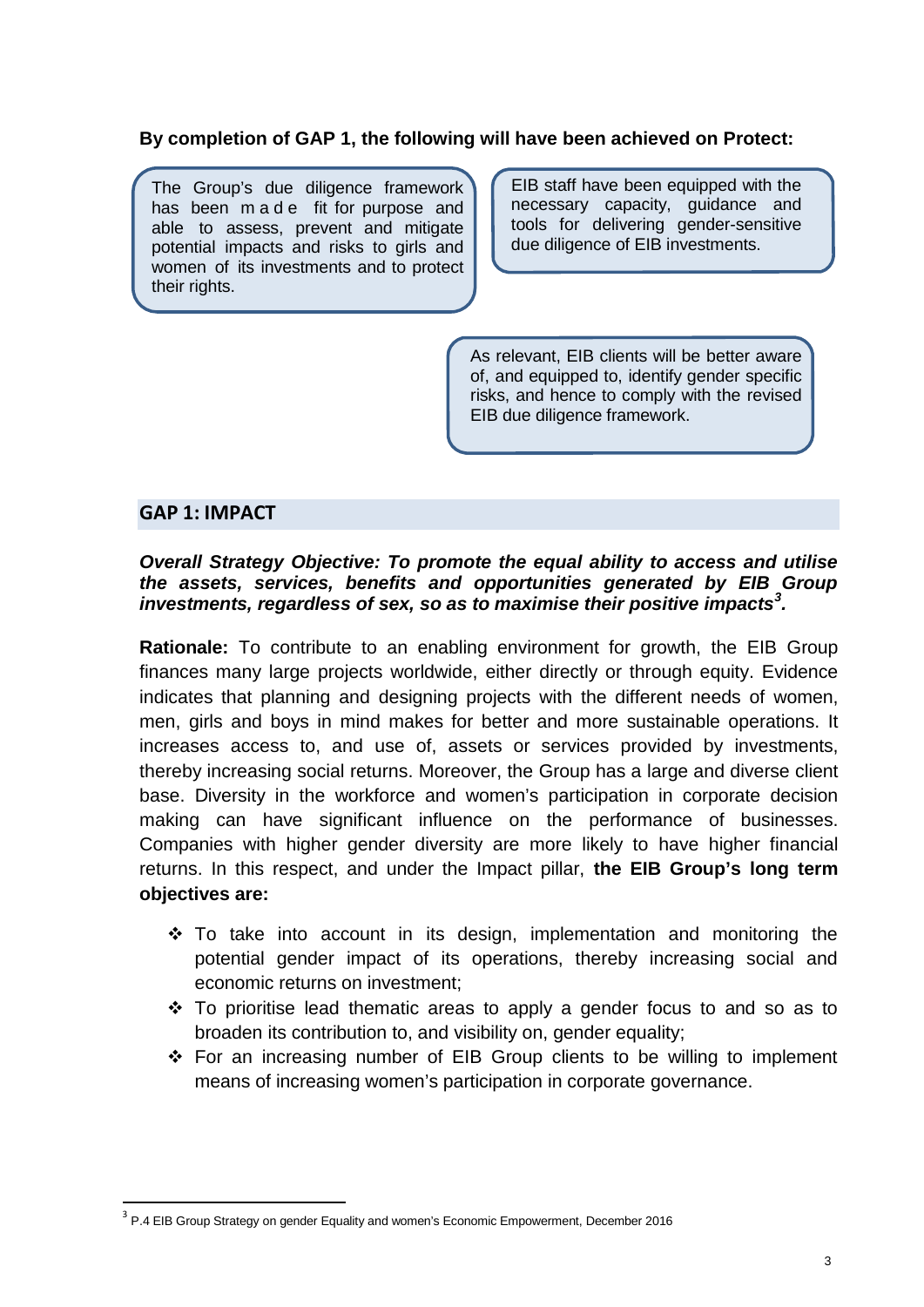## **By completion of GAP 1, the following will have been achieved on Protect:**

The Group's due diligence framework has been made fit for purpose and able to assess, prevent and mitigate potential impacts and risks to girls and women of its investments and to protect their rights.

EIB staff have been equipped with the necessary capacity, guidance and tools for delivering gender-sensitive due diligence of EIB investments.

As relevant, EIB clients will be better aware of, and equipped to, identify gender specific risks, and hence to comply with the revised EIB due diligence framework.

#### **GAP 1: IMPACT**

#### *Overall Strategy Objective: To promote the equal ability to access and utilise the assets, services, benefits and opportunities generated by EIB Group investments, regardless of sex, so as to maximise their positive impacts[3](#page-2-0) .*

**Rationale:** To contribute to an enabling environment for growth, the EIB Group finances many large projects worldwide, either directly or through equity. Evidence indicates that planning and designing projects with the different needs of women, men, girls and boys in mind makes for better and more sustainable operations. It increases access to, and use of, assets or services provided by investments, thereby increasing social returns. Moreover, the Group has a large and diverse client base. Diversity in the workforce and women's participation in corporate decision making can have significant influence on the performance of businesses. Companies with higher gender diversity are more likely to have higher financial returns. In this respect, and under the Impact pillar, **the EIB Group's long term objectives are:**

- \* To take into account in its design, implementation and monitoring the potential gender impact of its operations, thereby increasing social and economic returns on investment;
- To prioritise lead thematic areas to apply a gender focus to and so as to broaden its contribution to, and visibility on, gender equality;
- $\div$  For an increasing number of EIB Group clients to be willing to implement means of increasing women's participation in corporate governance.

<span id="page-2-0"></span><sup>&</sup>lt;sup>3</sup> P.4 EIB Group Strategy on gender Equality and women's Economic Empowerment, December 2016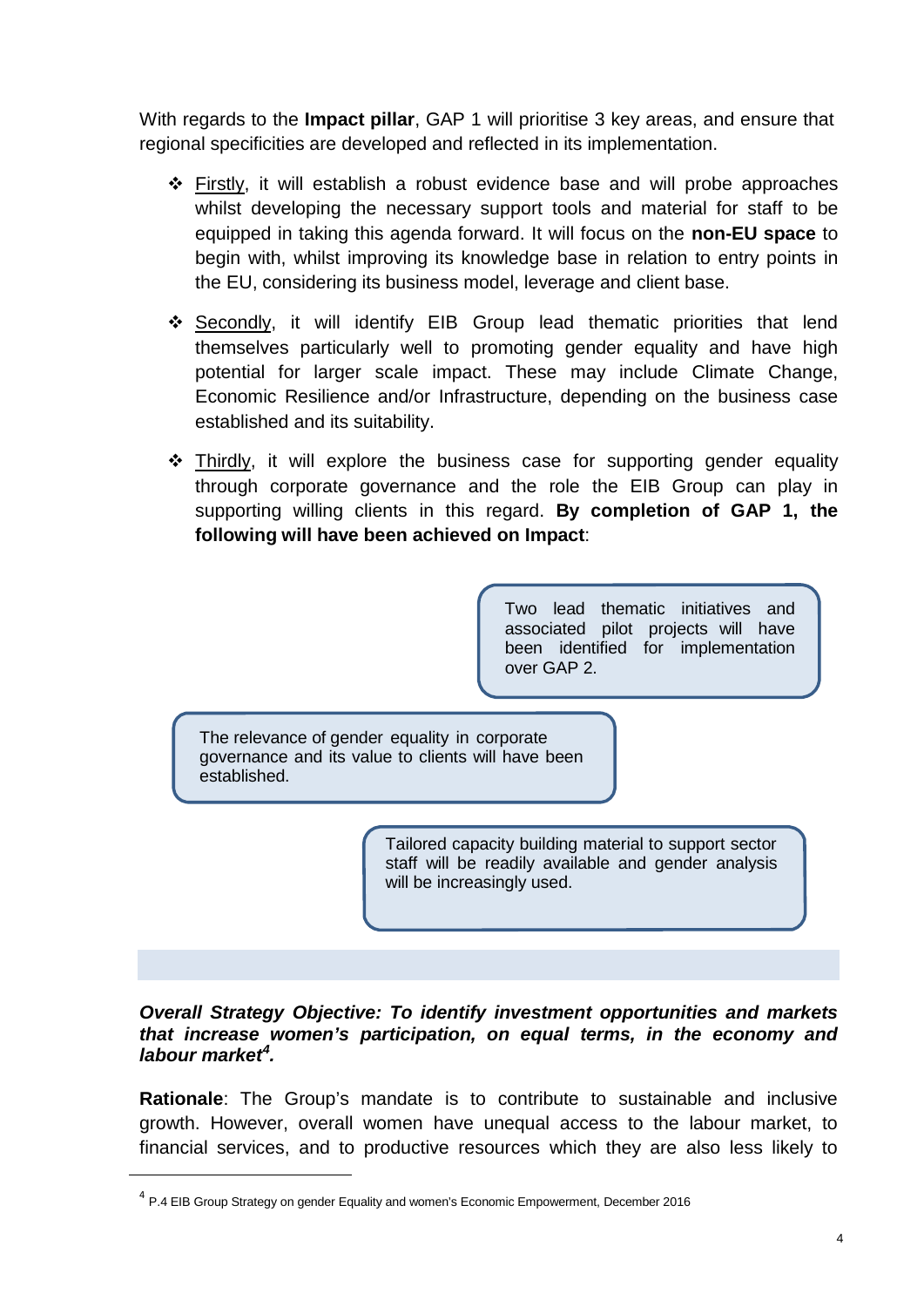With regards to the **Impact pillar**, GAP 1 will prioritise 3 key areas, and ensure that regional specificities are developed and reflected in its implementation.

- Firstly, it will establish a robust evidence base and will probe approaches whilst developing the necessary support tools and material for staff to be equipped in taking this agenda forward. It will focus on the **non-EU space** to begin with, whilst improving its knowledge base in relation to entry points in the EU, considering its business model, leverage and client base.
- **Example 3 Secondly, it will identify EIB Group lead thematic priorities that lend** themselves particularly well to promoting gender equality and have high potential for larger scale impact. These may include Climate Change, Economic Resilience and/or Infrastructure, depending on the business case established and its suitability.
- Thirdly, it will explore the business case for supporting gender equality through corporate governance and the role the EIB Group can play in supporting willing clients in this regard. **By completion of GAP 1, the following will have been achieved on Impact**:

Two lead thematic initiatives and associated pilot projects will have been identified for implementation over GAP 2.

The relevance of gender equality in corporate governance and its value to clients will have been established.

> Tailored capacity building material to support sector staff will be readily available and gender analysis will be increasingly used.

#### *Overall Strategy Objective: To identify investment opportunities and markets that increase women's participation, on equal terms, in the economy and labour market[4](#page-3-0) .*

**Rationale**: The Group's mandate is to contribute to sustainable and inclusive growth. However, overall women have unequal access to the labour market, to financial services, and to productive resources which they are also less likely to

<span id="page-3-0"></span> $\overline{a}$ 

 $4$  P.4 EIB Group Strategy on gender Equality and women's Economic Empowerment, December 2016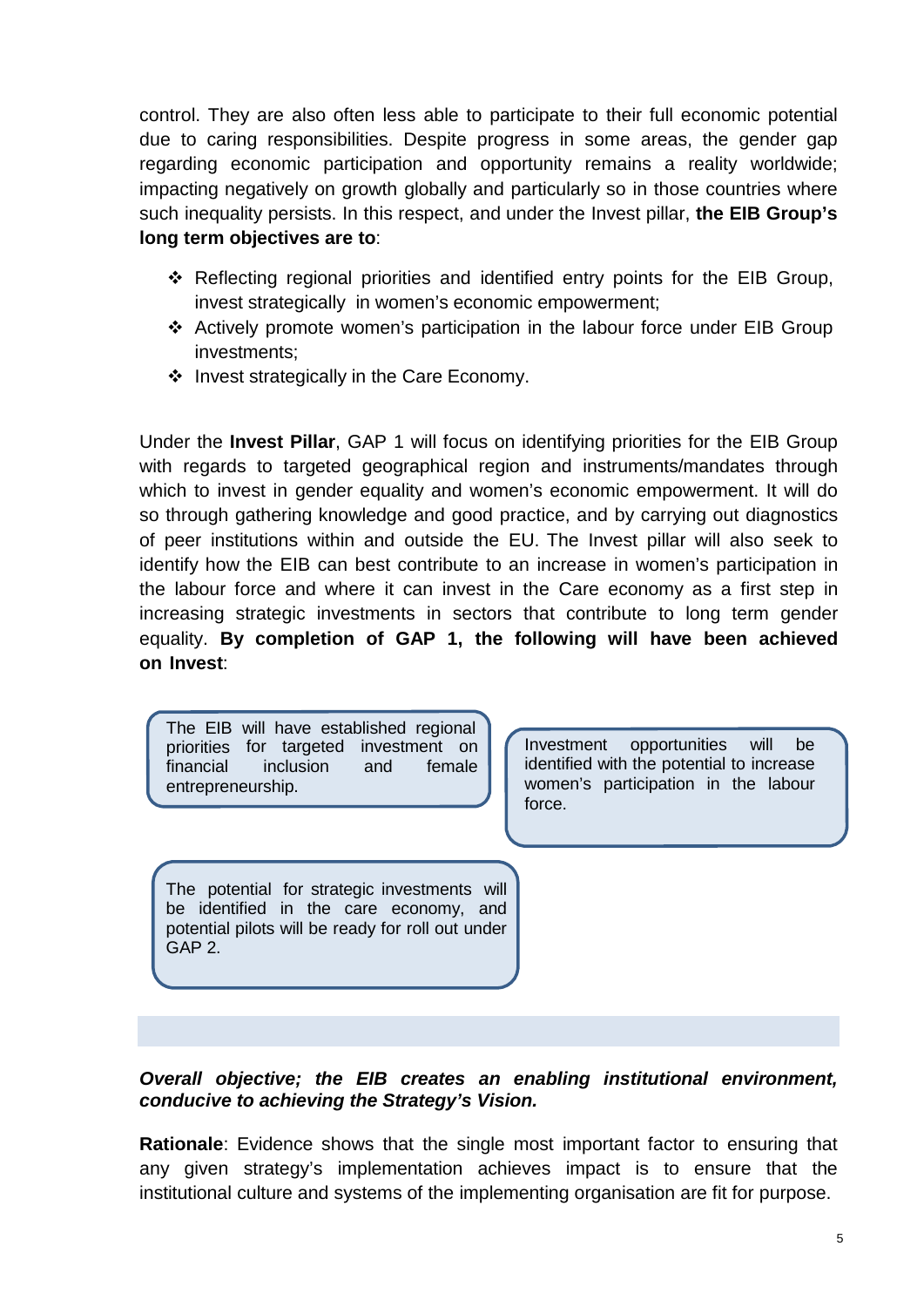control. They are also often less able to participate to their full economic potential due to caring responsibilities. Despite progress in some areas, the gender gap regarding economic participation and opportunity remains a reality worldwide; impacting negatively on growth globally and particularly so in those countries where such inequality persists. In this respect, and under the Invest pillar, **the EIB Group's long term objectives are to**:

- Reflecting regional priorities and identified entry points for the EIB Group, invest strategically in women's economic empowerment;
- Actively promote women's participation in the labour force under EIB Group investments;
- $\cdot$  Invest strategically in the Care Economy.

Under the **Invest Pillar**, GAP 1 will focus on identifying priorities for the EIB Group with regards to targeted geographical region and instruments/mandates through which to invest in gender equality and women's economic empowerment. It will do so through gathering knowledge and good practice, and by carrying out diagnostics of peer institutions within and outside the EU. The Invest pillar will also seek to identify how the EIB can best contribute to an increase in women's participation in the labour force and where it can invest in the Care economy as a first step in increasing strategic investments in sectors that contribute to long term gender equality. **By completion of GAP 1, the following will have been achieved on Invest**:

The EIB will have established regional priorities for targeted investment on financial inclusion and female entrepreneurship.

Investment opportunities will be identified with the potential to increase women's participation in the labour force.

The potential for strategic investments will be identified in the care economy, and potential pilots will be ready for roll out under GAP 2.

#### *Overall objective; the EIB creates an enabling institutional environment, conducive to achieving the Strategy's Vision.*

**Rationale**: Evidence shows that the single most important factor to ensuring that any given strategy's implementation achieves impact is to ensure that the institutional culture and systems of the implementing organisation are fit for purpose.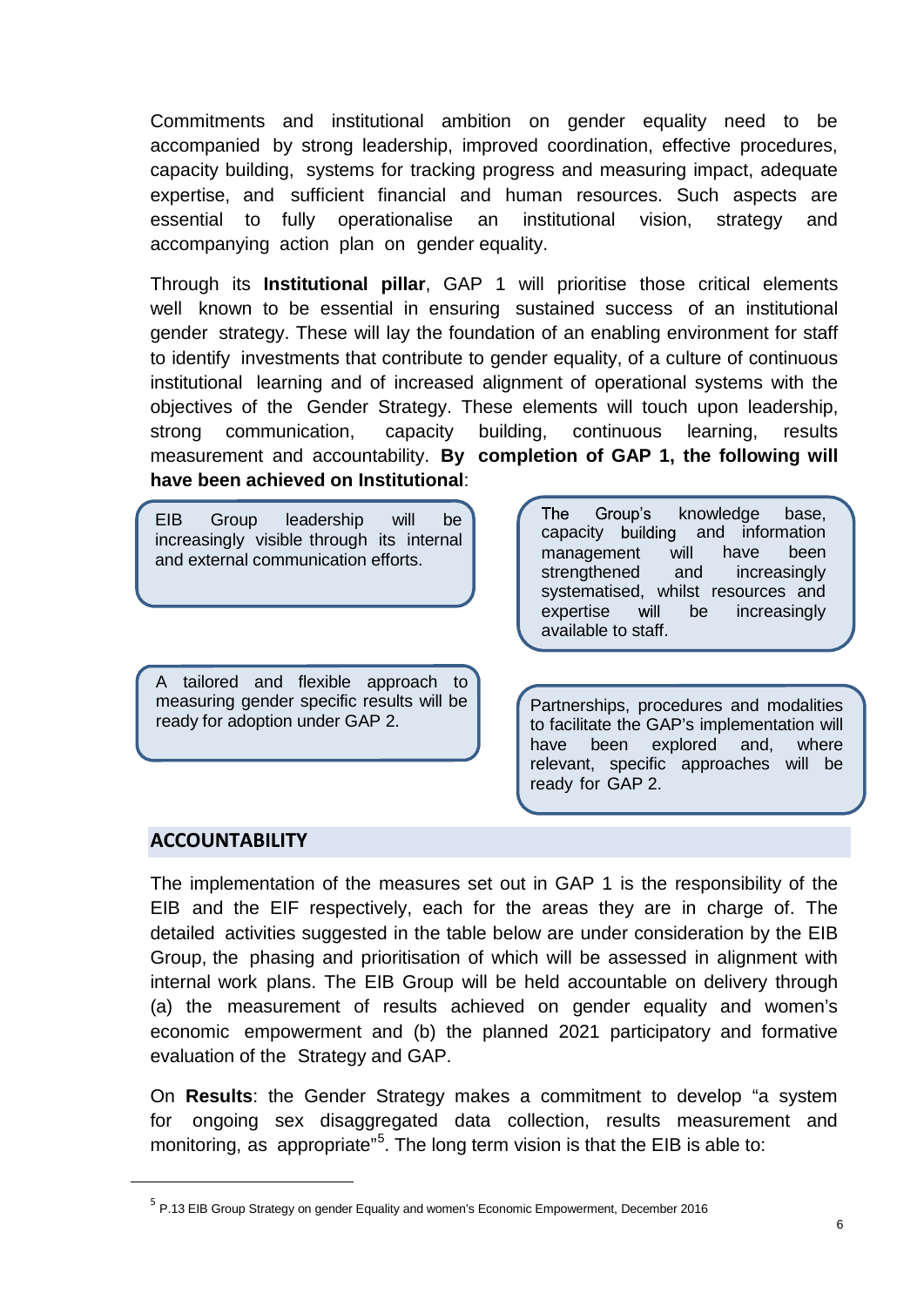Commitments and institutional ambition on gender equality need to be accompanied by strong leadership, improved coordination, effective procedures, capacity building, systems for tracking progress and measuring impact, adequate expertise, and sufficient financial and human resources. Such aspects are essential to fully operationalise an institutional vision, strategy and accompanying action plan on gender equality.

Through its **Institutional pillar**, GAP 1 will prioritise those critical elements well known to be essential in ensuring sustained success of an institutional gender strategy. These will lay the foundation of an enabling environment for staff to identify investments that contribute to gender equality, of a culture of continuous institutional learning and of increased alignment of operational systems with the objectives of the Gender Strategy. These elements will touch upon leadership, strong communication, capacity building, continuous learning, results measurement and accountability. **By completion of GAP 1, the following will have been achieved on Institutional**:

EIB Group leadership will be increasingly visible through its internal and external communication efforts.

A tailored and flexible approach to measuring gender specific results will be ready for adoption under GAP 2.

The Group's knowledge base, capacity building and information management will have been strengthened and increasingly systematised, whilst resources and expertise will be increasingly available to staff.

Partnerships, procedures and modalities to facilitate the GAP's implementation will have been explored and, where relevant, specific approaches will be ready for GAP 2.

## **ACCOUNTABILITY**

<span id="page-5-0"></span>**.** 

The implementation of the measures set out in GAP 1 is the responsibility of the EIB and the EIF respectively, each for the areas they are in charge of. The detailed activities suggested in the table below are under consideration by the EIB Group, the phasing and prioritisation of which will be assessed in alignment with internal work plans. The EIB Group will be held accountable on delivery through (a) the measurement of results achieved on gender equality and women's economic empowerment and (b) the planned 2021 participatory and formative evaluation of the Strategy and GAP.

On **Results**: the Gender Strategy makes a commitment to develop "a system for ongoing sex disaggregated data collection, results measurement and monitoring, as appropriate"<sup>[5](#page-5-0)</sup>. The long term vision is that the EIB is able to:

<sup>&</sup>lt;sup>5</sup> P.13 EIB Group Strategy on gender Equality and women's Economic Empowerment, December 2016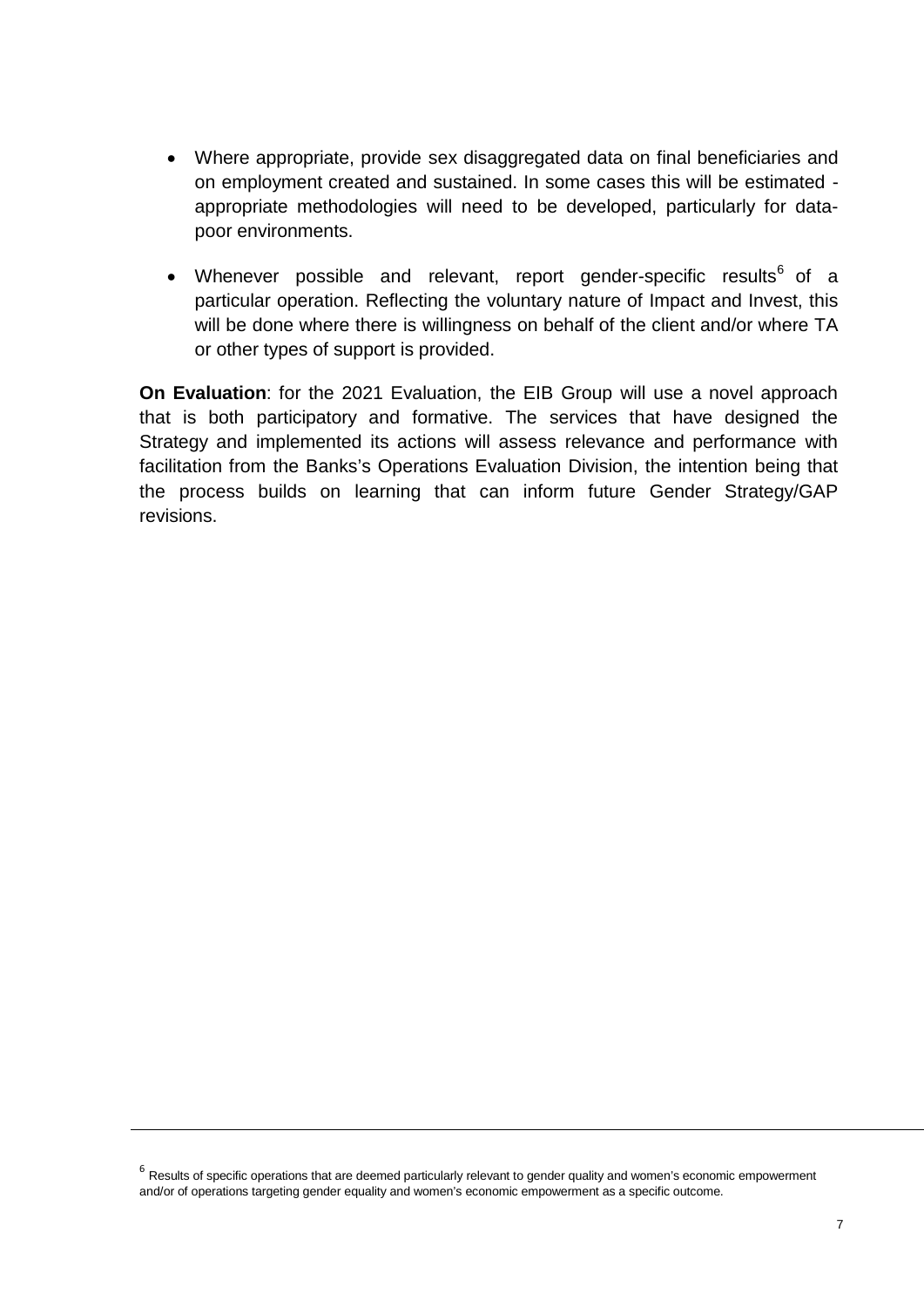- Where appropriate, provide sex disaggregated data on final beneficiaries and on employment created and sustained. In some cases this will be estimated appropriate methodologies will need to be developed, particularly for datapoor environments.
- Whenever possible and relevant, report gender-specific results $6$  of a particular operation. Reflecting the voluntary nature of Impact and Invest, this will be done where there is willingness on behalf of the client and/or where TA or other types of support is provided.

**On Evaluation**: for the 2021 Evaluation, the EIB Group will use a novel approach that is both participatory and formative. The services that have designed the Strategy and implemented its actions will assess relevance and performance with facilitation from the Banks's Operations Evaluation Division, the intention being that the process builds on learning that can inform future Gender Strategy/GAP revisions.

<span id="page-6-0"></span>1

 $6$  Results of specific operations that are deemed particularly relevant to gender quality and women's economic empowerment and/or of operations targeting gender equality and women's economic empowerment as a specific outcome.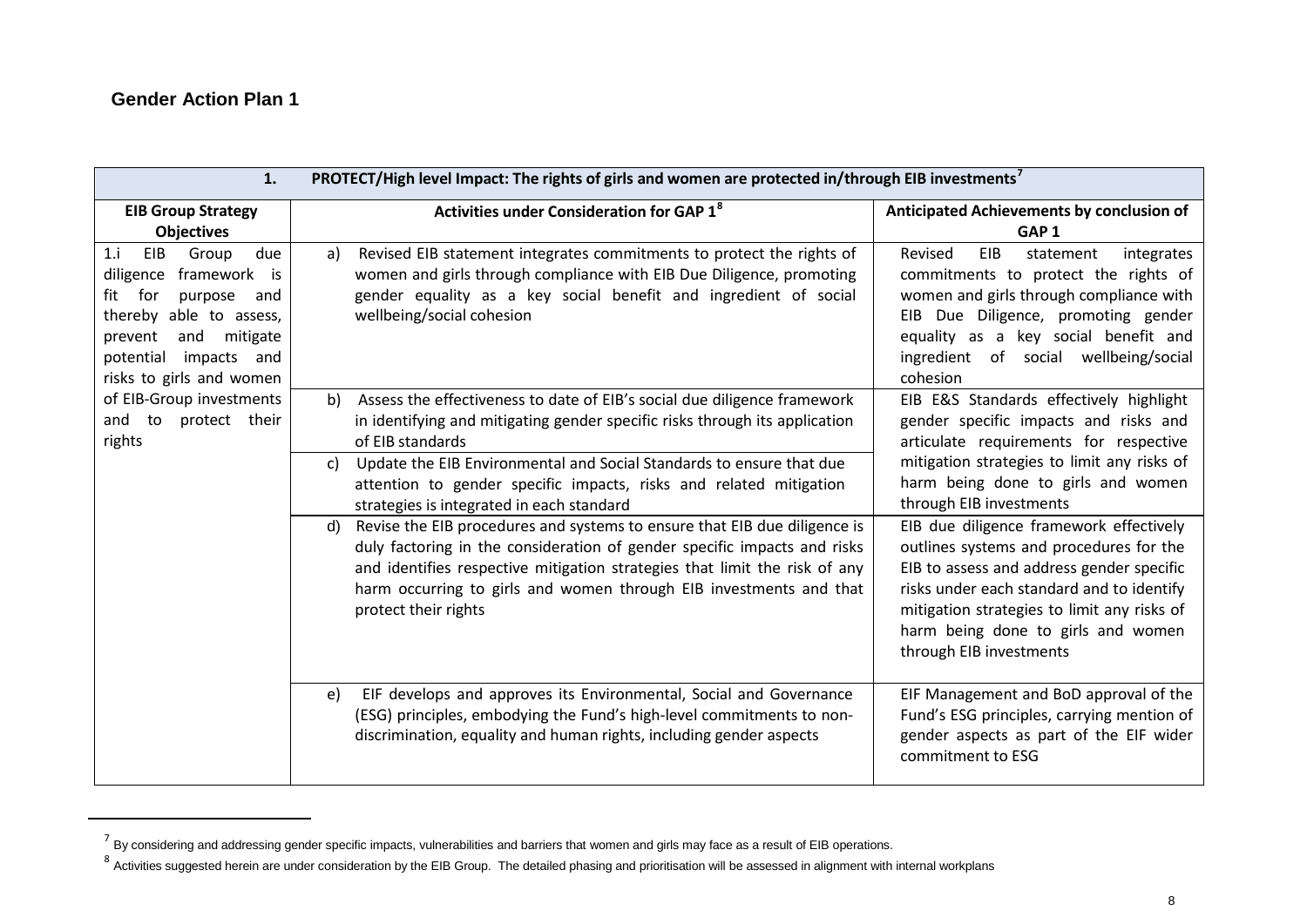$\overline{a}$ 

<span id="page-7-1"></span><span id="page-7-0"></span>

| PROTECT/High level Impact: The rights of girls and women are protected in/through EIB investments <sup>7</sup><br>1.                                                                                  |                                                                                                                                                                                                                                                                                                                                         |                                                                                                                                                                                                                                                                                              |
|-------------------------------------------------------------------------------------------------------------------------------------------------------------------------------------------------------|-----------------------------------------------------------------------------------------------------------------------------------------------------------------------------------------------------------------------------------------------------------------------------------------------------------------------------------------|----------------------------------------------------------------------------------------------------------------------------------------------------------------------------------------------------------------------------------------------------------------------------------------------|
| <b>EIB Group Strategy</b><br><b>Objectives</b>                                                                                                                                                        | <b>Activities under Consideration for GAP 18</b>                                                                                                                                                                                                                                                                                        | Anticipated Achievements by conclusion of<br>GAP <sub>1</sub>                                                                                                                                                                                                                                |
| EIB<br>Group<br>due<br>1.i<br>framework is<br>diligence<br>fit for<br>purpose<br>and<br>able to assess,<br>thereby<br>and mitigate<br>prevent<br>impacts and<br>potential<br>risks to girls and women | Revised EIB statement integrates commitments to protect the rights of<br>a)<br>women and girls through compliance with EIB Due Diligence, promoting<br>gender equality as a key social benefit and ingredient of social<br>wellbeing/social cohesion                                                                                    | Revised<br>EIB<br>integrates<br>statement<br>commitments to protect the rights of<br>women and girls through compliance with<br>EIB Due Diligence, promoting gender<br>equality as a key social benefit and<br>ingredient of social wellbeing/social<br>cohesion                             |
| of EIB-Group investments<br>and to protect their<br>rights                                                                                                                                            | Assess the effectiveness to date of EIB's social due diligence framework<br>b)<br>in identifying and mitigating gender specific risks through its application<br>of EIB standards                                                                                                                                                       | EIB E&S Standards effectively highlight<br>gender specific impacts and risks and<br>articulate requirements for respective                                                                                                                                                                   |
|                                                                                                                                                                                                       | Update the EIB Environmental and Social Standards to ensure that due<br>C)<br>attention to gender specific impacts, risks and related mitigation<br>strategies is integrated in each standard                                                                                                                                           | mitigation strategies to limit any risks of<br>harm being done to girls and women<br>through EIB investments                                                                                                                                                                                 |
|                                                                                                                                                                                                       | Revise the EIB procedures and systems to ensure that EIB due diligence is<br>d)<br>duly factoring in the consideration of gender specific impacts and risks<br>and identifies respective mitigation strategies that limit the risk of any<br>harm occurring to girls and women through EIB investments and that<br>protect their rights | EIB due diligence framework effectively<br>outlines systems and procedures for the<br>EIB to assess and address gender specific<br>risks under each standard and to identify<br>mitigation strategies to limit any risks of<br>harm being done to girls and women<br>through EIB investments |
|                                                                                                                                                                                                       | EIF develops and approves its Environmental, Social and Governance<br>e)<br>(ESG) principles, embodying the Fund's high-level commitments to non-<br>discrimination, equality and human rights, including gender aspects                                                                                                                | EIF Management and BoD approval of the<br>Fund's ESG principles, carrying mention of<br>gender aspects as part of the EIF wider<br>commitment to ESG                                                                                                                                         |

 $^7$  By considering and addressing gender specific impacts, vulnerabilities and barriers that women and girls may face as a result of EIB operations.

 $^8$  Activities suggested herein are under consideration by the EIB Group. The detailed phasing and prioritisation will be assessed in alignment with internal workplans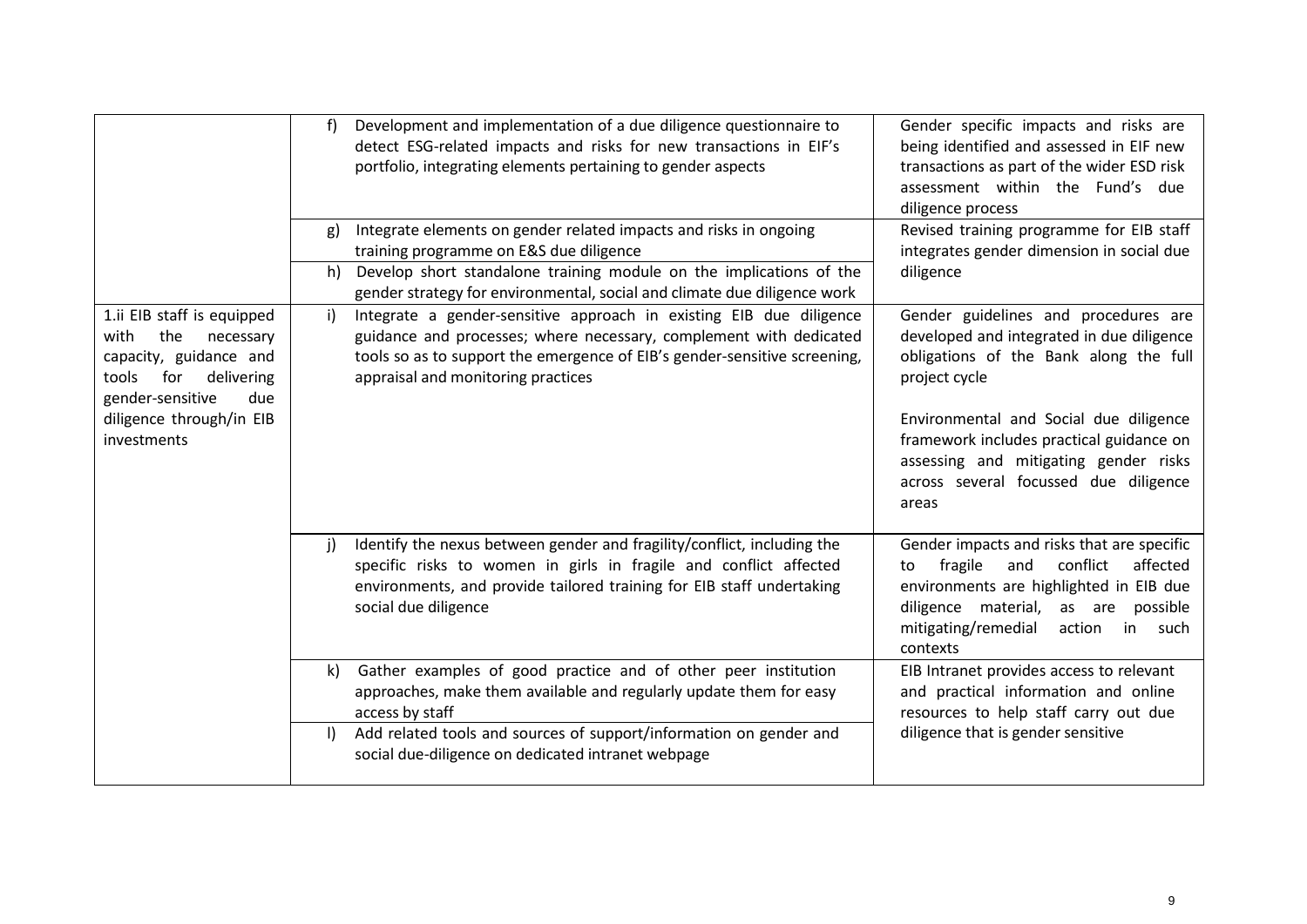|                                                                                                                                                                                      | Development and implementation of a due diligence questionnaire to<br>f<br>detect ESG-related impacts and risks for new transactions in EIF's<br>portfolio, integrating elements pertaining to gender aspects                                                                                                                                  | Gender specific impacts and risks are<br>being identified and assessed in EIF new<br>transactions as part of the wider ESD risk<br>assessment within the Fund's due<br>diligence process                                                                                                                                      |
|--------------------------------------------------------------------------------------------------------------------------------------------------------------------------------------|------------------------------------------------------------------------------------------------------------------------------------------------------------------------------------------------------------------------------------------------------------------------------------------------------------------------------------------------|-------------------------------------------------------------------------------------------------------------------------------------------------------------------------------------------------------------------------------------------------------------------------------------------------------------------------------|
|                                                                                                                                                                                      | Integrate elements on gender related impacts and risks in ongoing<br>g)<br>training programme on E&S due diligence<br>Develop short standalone training module on the implications of the<br>h)                                                                                                                                                | Revised training programme for EIB staff<br>integrates gender dimension in social due<br>diligence                                                                                                                                                                                                                            |
| 1.ii EIB staff is equipped<br>with<br>the<br>necessary<br>capacity, guidance and<br>delivering<br>tools<br>for<br>gender-sensitive<br>due<br>diligence through/in EIB<br>investments | gender strategy for environmental, social and climate due diligence work<br>Integrate a gender-sensitive approach in existing EIB due diligence<br>i)<br>guidance and processes; where necessary, complement with dedicated<br>tools so as to support the emergence of EIB's gender-sensitive screening,<br>appraisal and monitoring practices | Gender guidelines and procedures are<br>developed and integrated in due diligence<br>obligations of the Bank along the full<br>project cycle<br>Environmental and Social due diligence<br>framework includes practical guidance on<br>assessing and mitigating gender risks<br>across several focussed due diligence<br>areas |
|                                                                                                                                                                                      | Identify the nexus between gender and fragility/conflict, including the<br>$\mathsf{i}$<br>specific risks to women in girls in fragile and conflict affected<br>environments, and provide tailored training for EIB staff undertaking<br>social due diligence                                                                                  | Gender impacts and risks that are specific<br>conflict<br>affected<br>fragile<br>and<br>to<br>environments are highlighted in EIB due<br>diligence material,<br>possible<br>as are<br>mitigating/remedial<br>action<br>in<br>such<br>contexts                                                                                 |
|                                                                                                                                                                                      | Gather examples of good practice and of other peer institution<br>k)<br>approaches, make them available and regularly update them for easy<br>access by staff                                                                                                                                                                                  | EIB Intranet provides access to relevant<br>and practical information and online<br>resources to help staff carry out due                                                                                                                                                                                                     |
|                                                                                                                                                                                      | Add related tools and sources of support/information on gender and<br>$\vert$<br>social due-diligence on dedicated intranet webpage                                                                                                                                                                                                            | diligence that is gender sensitive                                                                                                                                                                                                                                                                                            |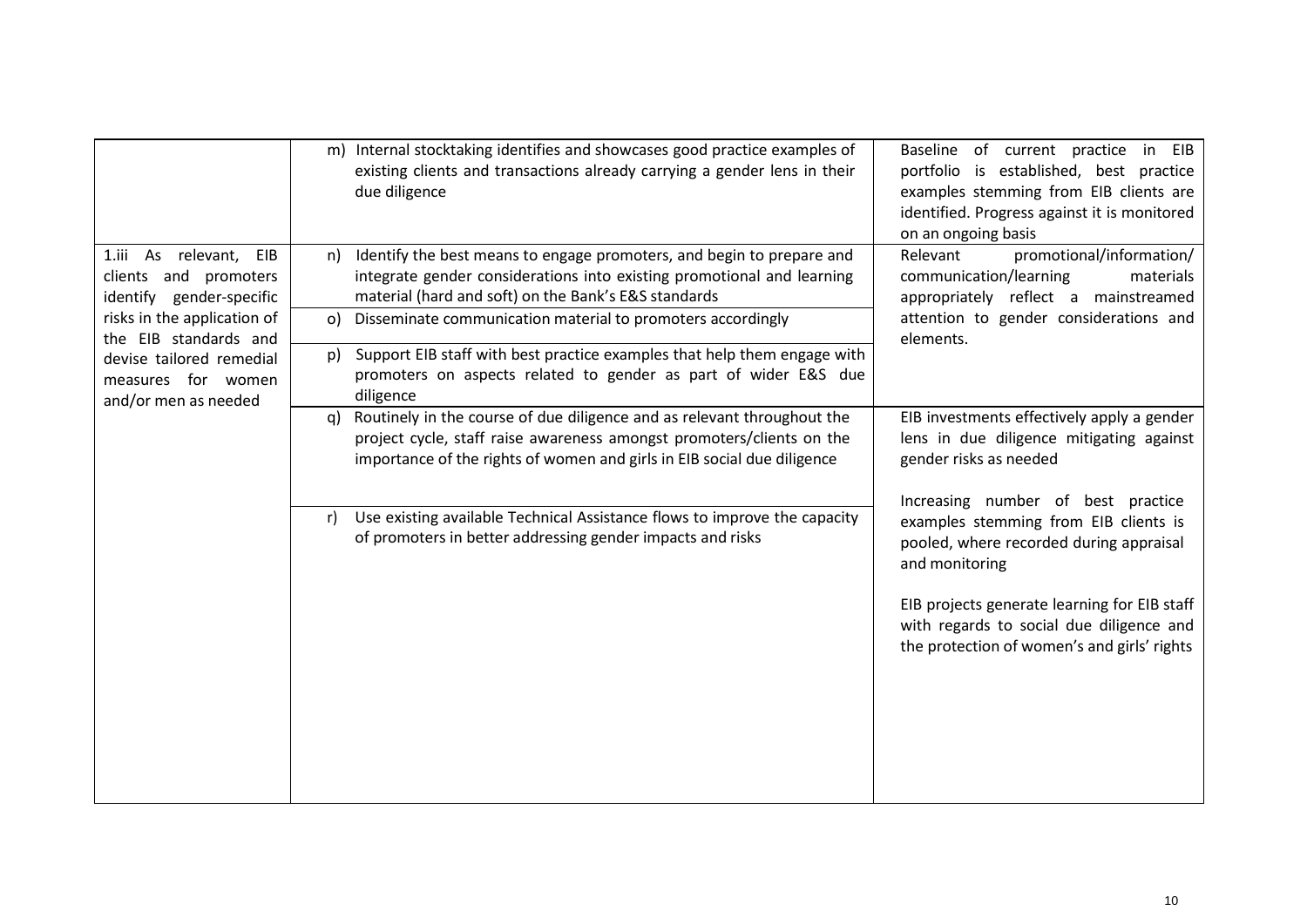|                                                                                                                                                                                                                  | m) Internal stocktaking identifies and showcases good practice examples of<br>existing clients and transactions already carrying a gender lens in their<br>due diligence                                                                                                                                                                                                                                                                              | Baseline of current practice in EIB<br>portfolio is established, best practice<br>examples stemming from EIB clients are<br>identified. Progress against it is monitored<br>on an ongoing basis                                                                                                                                                                                                         |
|------------------------------------------------------------------------------------------------------------------------------------------------------------------------------------------------------------------|-------------------------------------------------------------------------------------------------------------------------------------------------------------------------------------------------------------------------------------------------------------------------------------------------------------------------------------------------------------------------------------------------------------------------------------------------------|---------------------------------------------------------------------------------------------------------------------------------------------------------------------------------------------------------------------------------------------------------------------------------------------------------------------------------------------------------------------------------------------------------|
| 1.iii As relevant,<br>EIB<br>clients and promoters<br>identify gender-specific<br>risks in the application of<br>the EIB standards and<br>devise tailored remedial<br>measures for women<br>and/or men as needed | Identify the best means to engage promoters, and begin to prepare and<br>n)<br>integrate gender considerations into existing promotional and learning<br>material (hard and soft) on the Bank's E&S standards<br>Disseminate communication material to promoters accordingly<br>O()<br>Support EIB staff with best practice examples that help them engage with<br>p)<br>promoters on aspects related to gender as part of wider E&S due<br>diligence | promotional/information/<br>Relevant<br>communication/learning<br>materials<br>appropriately reflect a mainstreamed<br>attention to gender considerations and<br>elements.                                                                                                                                                                                                                              |
|                                                                                                                                                                                                                  | Routinely in the course of due diligence and as relevant throughout the<br>q)<br>project cycle, staff raise awareness amongst promoters/clients on the<br>importance of the rights of women and girls in EIB social due diligence<br>Use existing available Technical Assistance flows to improve the capacity<br>r)<br>of promoters in better addressing gender impacts and risks                                                                    | EIB investments effectively apply a gender<br>lens in due diligence mitigating against<br>gender risks as needed<br>Increasing number of best practice<br>examples stemming from EIB clients is<br>pooled, where recorded during appraisal<br>and monitoring<br>EIB projects generate learning for EIB staff<br>with regards to social due diligence and<br>the protection of women's and girls' rights |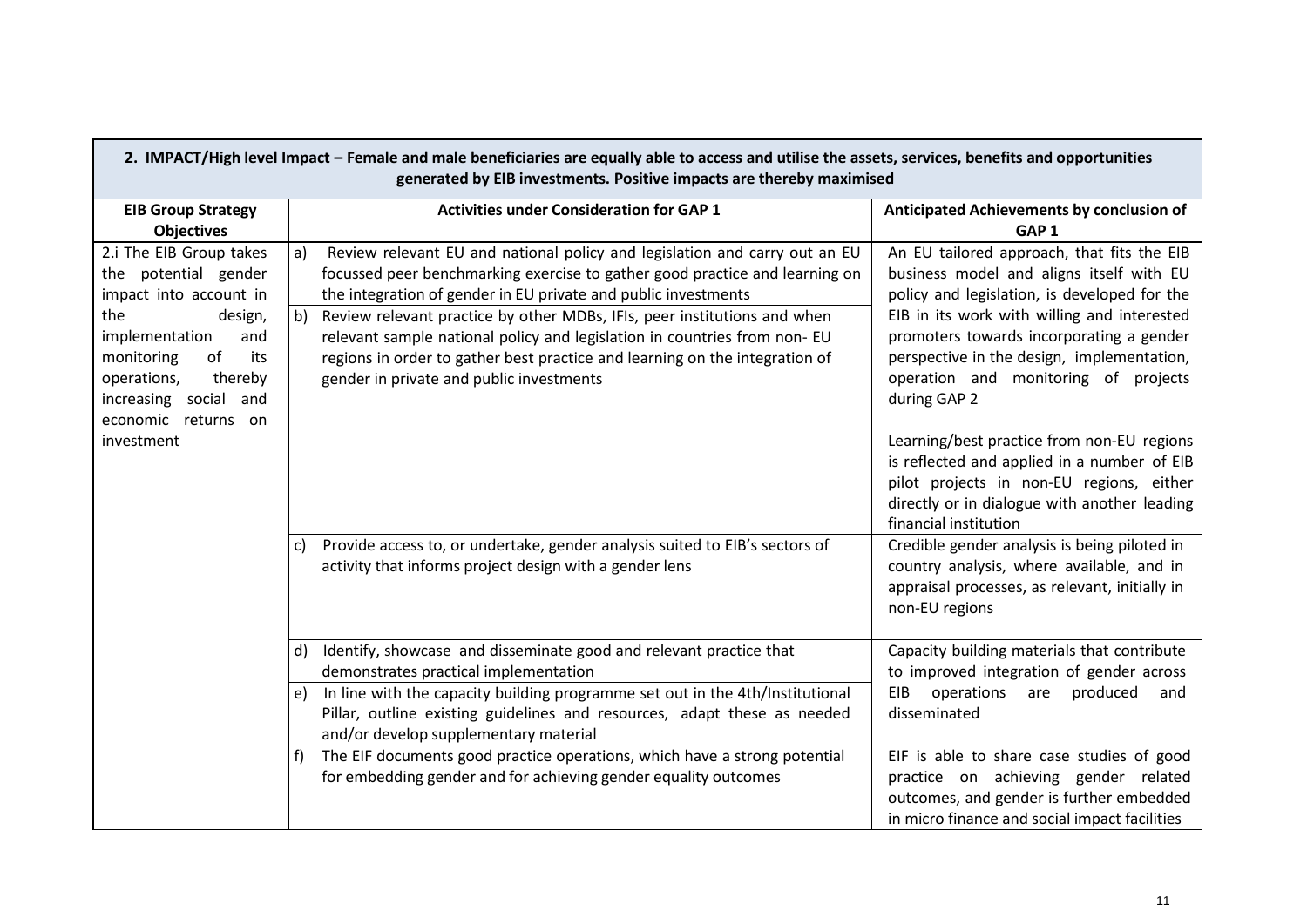| 2. IMPACT/High level Impact - Female and male beneficiaries are equally able to access and utilise the assets, services, benefits and opportunities<br>generated by EIB investments. Positive impacts are thereby maximised             |                                                                                                                                                                                                                                                                                                                                                                                                                                                                                                                                       |                                                                                                                                                                                                                                                                                                                                                                                                                                                                                                                                                           |
|-----------------------------------------------------------------------------------------------------------------------------------------------------------------------------------------------------------------------------------------|---------------------------------------------------------------------------------------------------------------------------------------------------------------------------------------------------------------------------------------------------------------------------------------------------------------------------------------------------------------------------------------------------------------------------------------------------------------------------------------------------------------------------------------|-----------------------------------------------------------------------------------------------------------------------------------------------------------------------------------------------------------------------------------------------------------------------------------------------------------------------------------------------------------------------------------------------------------------------------------------------------------------------------------------------------------------------------------------------------------|
| <b>EIB Group Strategy</b><br><b>Objectives</b>                                                                                                                                                                                          | <b>Activities under Consideration for GAP 1</b>                                                                                                                                                                                                                                                                                                                                                                                                                                                                                       | Anticipated Achievements by conclusion of<br>GAP <sub>1</sub>                                                                                                                                                                                                                                                                                                                                                                                                                                                                                             |
| 2.i The EIB Group takes<br>the potential gender<br>impact into account in<br>design,<br>the<br>implementation<br>and<br>monitoring<br>of<br>its<br>thereby<br>operations,<br>increasing social and<br>economic returns on<br>investment | Review relevant EU and national policy and legislation and carry out an EU<br>a)<br>focussed peer benchmarking exercise to gather good practice and learning on<br>the integration of gender in EU private and public investments<br>Review relevant practice by other MDBs, IFIs, peer institutions and when<br>$\mathsf{b}$<br>relevant sample national policy and legislation in countries from non- EU<br>regions in order to gather best practice and learning on the integration of<br>gender in private and public investments | An EU tailored approach, that fits the EIB<br>business model and aligns itself with EU<br>policy and legislation, is developed for the<br>EIB in its work with willing and interested<br>promoters towards incorporating a gender<br>perspective in the design, implementation,<br>operation and monitoring of projects<br>during GAP 2<br>Learning/best practice from non-EU regions<br>is reflected and applied in a number of EIB<br>pilot projects in non-EU regions, either<br>directly or in dialogue with another leading<br>financial institution |
|                                                                                                                                                                                                                                         | Provide access to, or undertake, gender analysis suited to EIB's sectors of<br>C)<br>activity that informs project design with a gender lens                                                                                                                                                                                                                                                                                                                                                                                          | Credible gender analysis is being piloted in<br>country analysis, where available, and in<br>appraisal processes, as relevant, initially in<br>non-EU regions                                                                                                                                                                                                                                                                                                                                                                                             |
|                                                                                                                                                                                                                                         | Identify, showcase and disseminate good and relevant practice that<br>d)<br>demonstrates practical implementation                                                                                                                                                                                                                                                                                                                                                                                                                     | Capacity building materials that contribute<br>to improved integration of gender across                                                                                                                                                                                                                                                                                                                                                                                                                                                                   |
|                                                                                                                                                                                                                                         | e) In line with the capacity building programme set out in the 4th/Institutional<br>Pillar, outline existing guidelines and resources, adapt these as needed<br>and/or develop supplementary material                                                                                                                                                                                                                                                                                                                                 | EIB<br>operations<br>produced<br>are<br>and<br>disseminated                                                                                                                                                                                                                                                                                                                                                                                                                                                                                               |
|                                                                                                                                                                                                                                         | The EIF documents good practice operations, which have a strong potential<br>for embedding gender and for achieving gender equality outcomes                                                                                                                                                                                                                                                                                                                                                                                          | EIF is able to share case studies of good<br>practice on achieving gender related<br>outcomes, and gender is further embedded<br>in micro finance and social impact facilities                                                                                                                                                                                                                                                                                                                                                                            |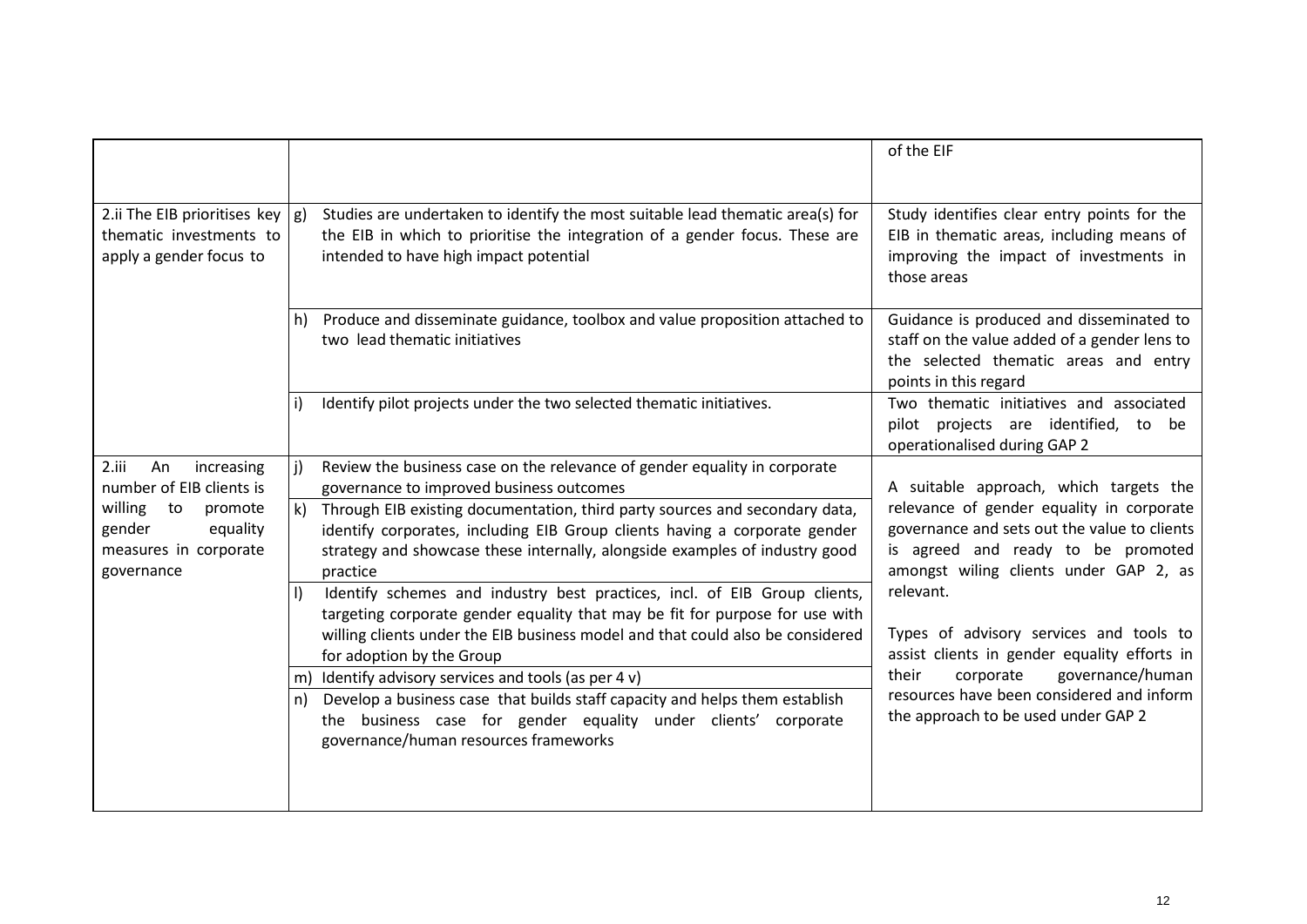|                                                                                       |                                                                                                                                                                                                                                                                          | of the EIF                                                                                                                                                                |
|---------------------------------------------------------------------------------------|--------------------------------------------------------------------------------------------------------------------------------------------------------------------------------------------------------------------------------------------------------------------------|---------------------------------------------------------------------------------------------------------------------------------------------------------------------------|
| 2.ii The EIB prioritises key<br>thematic investments to<br>apply a gender focus to    | Studies are undertaken to identify the most suitable lead thematic area(s) for<br>$\vert$ g)<br>the EIB in which to prioritise the integration of a gender focus. These are<br>intended to have high impact potential                                                    | Study identifies clear entry points for the<br>EIB in thematic areas, including means of<br>improving the impact of investments in<br>those areas                         |
|                                                                                       | h) Produce and disseminate guidance, toolbox and value proposition attached to<br>two lead thematic initiatives                                                                                                                                                          | Guidance is produced and disseminated to<br>staff on the value added of a gender lens to<br>the selected thematic areas and entry<br>points in this regard                |
|                                                                                       | Identify pilot projects under the two selected thematic initiatives.                                                                                                                                                                                                     | Two thematic initiatives and associated<br>pilot projects are identified, to be<br>operationalised during GAP 2                                                           |
| 2.111<br>An<br>increasing<br>number of EIB clients is                                 | Review the business case on the relevance of gender equality in corporate<br>governance to improved business outcomes                                                                                                                                                    | A suitable approach, which targets the                                                                                                                                    |
| willing<br>to<br>promote<br>gender<br>equality<br>measures in corporate<br>governance | Through EIB existing documentation, third party sources and secondary data,<br>k)<br>identify corporates, including EIB Group clients having a corporate gender<br>strategy and showcase these internally, alongside examples of industry good<br>practice               | relevance of gender equality in corporate<br>governance and sets out the value to clients<br>is agreed and ready to be promoted<br>amongst wiling clients under GAP 2, as |
|                                                                                       | Identify schemes and industry best practices, incl. of EIB Group clients,<br>targeting corporate gender equality that may be fit for purpose for use with<br>willing clients under the EIB business model and that could also be considered<br>for adoption by the Group | relevant.<br>Types of advisory services and tools to<br>assist clients in gender equality efforts in                                                                      |
|                                                                                       | m) Identify advisory services and tools (as per 4 v)<br>n) Develop a business case that builds staff capacity and helps them establish<br>the business case for gender equality under clients' corporate<br>governance/human resources frameworks                        | governance/human<br>their<br>corporate<br>resources have been considered and inform<br>the approach to be used under GAP 2                                                |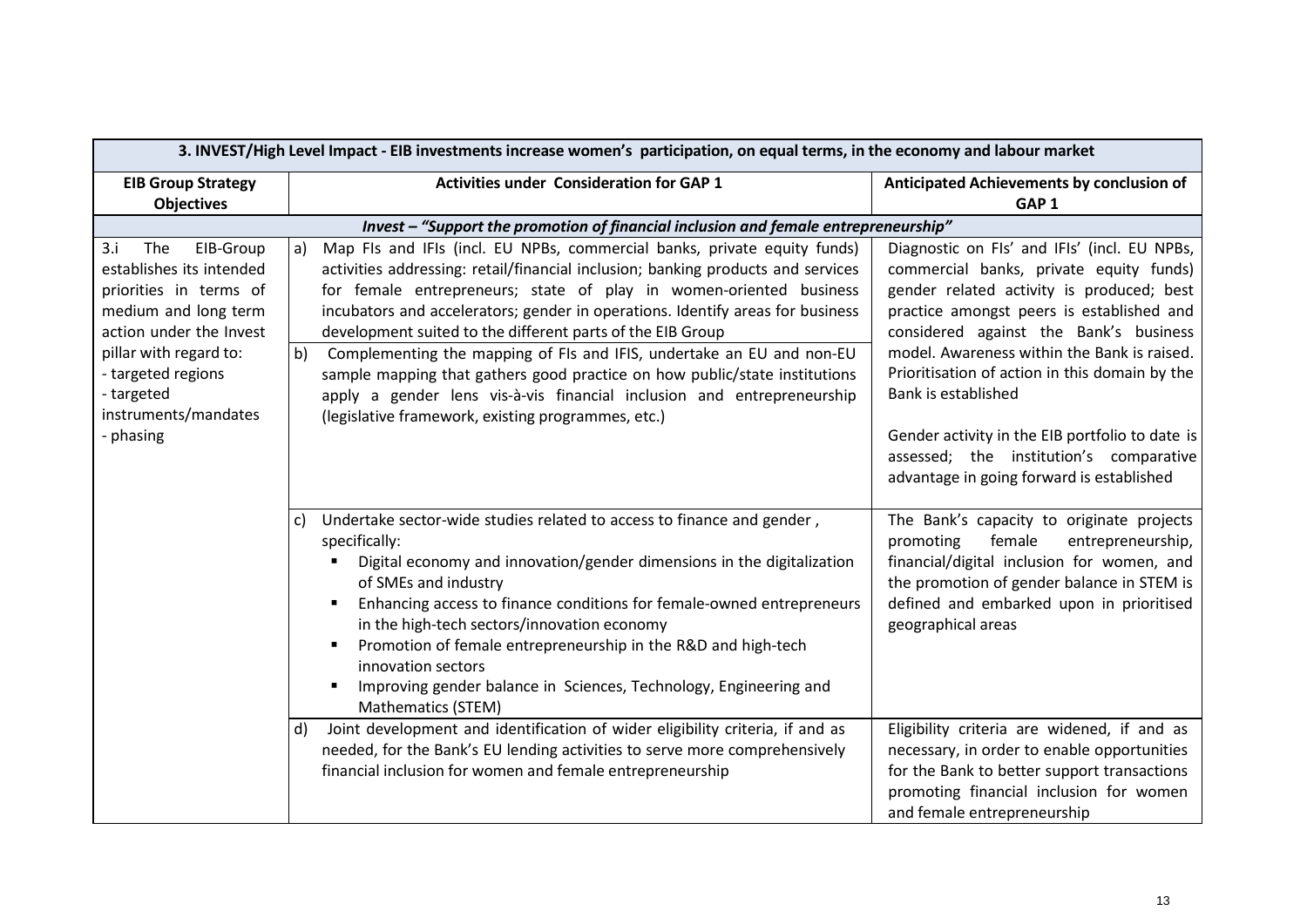| 3. INVEST/High Level Impact - EIB investments increase women's participation, on equal terms, in the economy and labour market                                                                                                      |                                                                                                                                                                                                                                                                                                                                                                                                                                                                                                                                                                                                                                                                                                                                                                 |                                                                                                                                                                                                                                                                                                                                                                                                                                                                                                |
|-------------------------------------------------------------------------------------------------------------------------------------------------------------------------------------------------------------------------------------|-----------------------------------------------------------------------------------------------------------------------------------------------------------------------------------------------------------------------------------------------------------------------------------------------------------------------------------------------------------------------------------------------------------------------------------------------------------------------------------------------------------------------------------------------------------------------------------------------------------------------------------------------------------------------------------------------------------------------------------------------------------------|------------------------------------------------------------------------------------------------------------------------------------------------------------------------------------------------------------------------------------------------------------------------------------------------------------------------------------------------------------------------------------------------------------------------------------------------------------------------------------------------|
| <b>EIB Group Strategy</b><br><b>Objectives</b>                                                                                                                                                                                      | <b>Activities under Consideration for GAP 1</b>                                                                                                                                                                                                                                                                                                                                                                                                                                                                                                                                                                                                                                                                                                                 | Anticipated Achievements by conclusion of<br>GAP <sub>1</sub>                                                                                                                                                                                                                                                                                                                                                                                                                                  |
|                                                                                                                                                                                                                                     | Invest - "Support the promotion of financial inclusion and female entrepreneurship"                                                                                                                                                                                                                                                                                                                                                                                                                                                                                                                                                                                                                                                                             |                                                                                                                                                                                                                                                                                                                                                                                                                                                                                                |
| EIB-Group<br>The<br>3.i<br>establishes its intended<br>priorities in terms of<br>medium and long term<br>action under the Invest<br>pillar with regard to:<br>- targeted regions<br>- targeted<br>instruments/mandates<br>- phasing | Map FIs and IFIs (incl. EU NPBs, commercial banks, private equity funds)<br>a)<br>activities addressing: retail/financial inclusion; banking products and services<br>for female entrepreneurs; state of play in women-oriented business<br>incubators and accelerators; gender in operations. Identify areas for business<br>development suited to the different parts of the EIB Group<br>Complementing the mapping of FIs and IFIS, undertake an EU and non-EU<br>b)<br>sample mapping that gathers good practice on how public/state institutions<br>apply a gender lens vis-à-vis financial inclusion and entrepreneurship<br>(legislative framework, existing programmes, etc.)                                                                           | Diagnostic on Fls' and IFIs' (incl. EU NPBs,<br>commercial banks, private equity funds)<br>gender related activity is produced; best<br>practice amongst peers is established and<br>considered against the Bank's business<br>model. Awareness within the Bank is raised.<br>Prioritisation of action in this domain by the<br>Bank is established<br>Gender activity in the EIB portfolio to date is<br>assessed; the institution's comparative<br>advantage in going forward is established |
|                                                                                                                                                                                                                                     | Undertake sector-wide studies related to access to finance and gender,<br>$\mathsf{C}$<br>specifically:<br>Digital economy and innovation/gender dimensions in the digitalization<br>of SMEs and industry<br>Enhancing access to finance conditions for female-owned entrepreneurs<br>٠<br>in the high-tech sectors/innovation economy<br>Promotion of female entrepreneurship in the R&D and high-tech<br>٠<br>innovation sectors<br>Improving gender balance in Sciences, Technology, Engineering and<br>Mathematics (STEM)<br>Joint development and identification of wider eligibility criteria, if and as<br>d)<br>needed, for the Bank's EU lending activities to serve more comprehensively<br>financial inclusion for women and female entrepreneurship | The Bank's capacity to originate projects<br>female<br>promoting<br>entrepreneurship,<br>financial/digital inclusion for women, and<br>the promotion of gender balance in STEM is<br>defined and embarked upon in prioritised<br>geographical areas<br>Eligibility criteria are widened, if and as<br>necessary, in order to enable opportunities<br>for the Bank to better support transactions<br>promoting financial inclusion for women<br>and female entrepreneurship                     |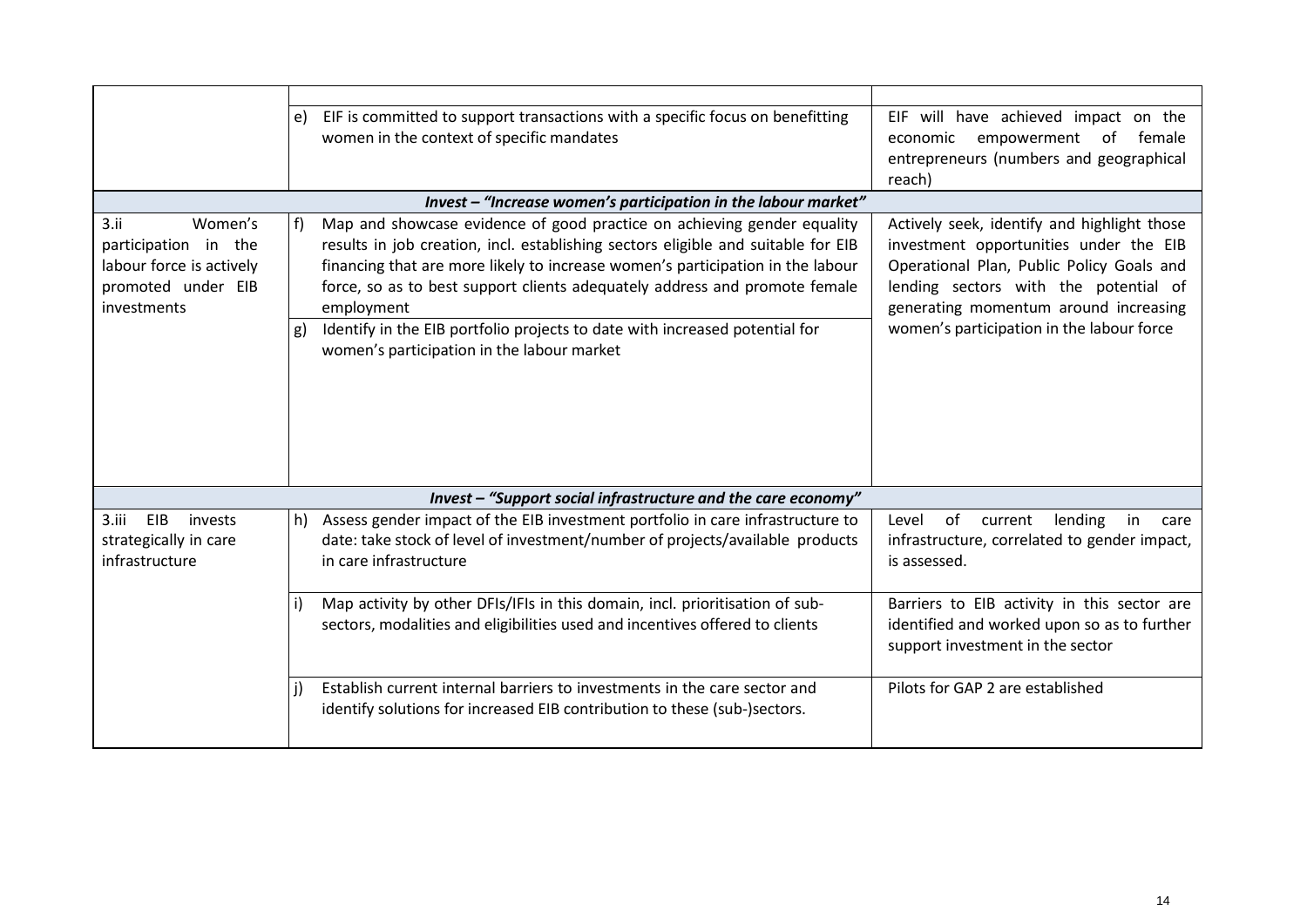|                                                                                                          | EIF is committed to support transactions with a specific focus on benefitting<br>e)<br>women in the context of specific mandates                                                                                                                                                                                                                                                                                                                                                    | EIF will have achieved impact on the<br>economic<br>empowerment<br>of<br>female<br>entrepreneurs (numbers and geographical<br>reach)                                                                                                                              |
|----------------------------------------------------------------------------------------------------------|-------------------------------------------------------------------------------------------------------------------------------------------------------------------------------------------------------------------------------------------------------------------------------------------------------------------------------------------------------------------------------------------------------------------------------------------------------------------------------------|-------------------------------------------------------------------------------------------------------------------------------------------------------------------------------------------------------------------------------------------------------------------|
|                                                                                                          | Invest - "Increase women's participation in the labour market"                                                                                                                                                                                                                                                                                                                                                                                                                      |                                                                                                                                                                                                                                                                   |
| Women's<br>3.11<br>participation in the<br>labour force is actively<br>promoted under EIB<br>investments | Map and showcase evidence of good practice on achieving gender equality<br>f)<br>results in job creation, incl. establishing sectors eligible and suitable for EIB<br>financing that are more likely to increase women's participation in the labour<br>force, so as to best support clients adequately address and promote female<br>employment<br>Identify in the EIB portfolio projects to date with increased potential for<br>g)<br>women's participation in the labour market | Actively seek, identify and highlight those<br>investment opportunities under the EIB<br>Operational Plan, Public Policy Goals and<br>lending sectors with the potential of<br>generating momentum around increasing<br>women's participation in the labour force |
|                                                                                                          | Invest - "Support social infrastructure and the care economy"                                                                                                                                                                                                                                                                                                                                                                                                                       |                                                                                                                                                                                                                                                                   |
| EIB<br>invests<br>3.iii<br>strategically in care<br>infrastructure                                       | Assess gender impact of the EIB investment portfolio in care infrastructure to<br>h)<br>date: take stock of level of investment/number of projects/available products<br>in care infrastructure                                                                                                                                                                                                                                                                                     | lending<br>Level<br>of current<br>in<br>care<br>infrastructure, correlated to gender impact,<br>is assessed.                                                                                                                                                      |
|                                                                                                          | Map activity by other DFIs/IFIs in this domain, incl. prioritisation of sub-<br>i)<br>sectors, modalities and eligibilities used and incentives offered to clients                                                                                                                                                                                                                                                                                                                  | Barriers to EIB activity in this sector are<br>identified and worked upon so as to further<br>support investment in the sector                                                                                                                                    |
|                                                                                                          | Establish current internal barriers to investments in the care sector and<br>identify solutions for increased EIB contribution to these (sub-)sectors.                                                                                                                                                                                                                                                                                                                              | Pilots for GAP 2 are established                                                                                                                                                                                                                                  |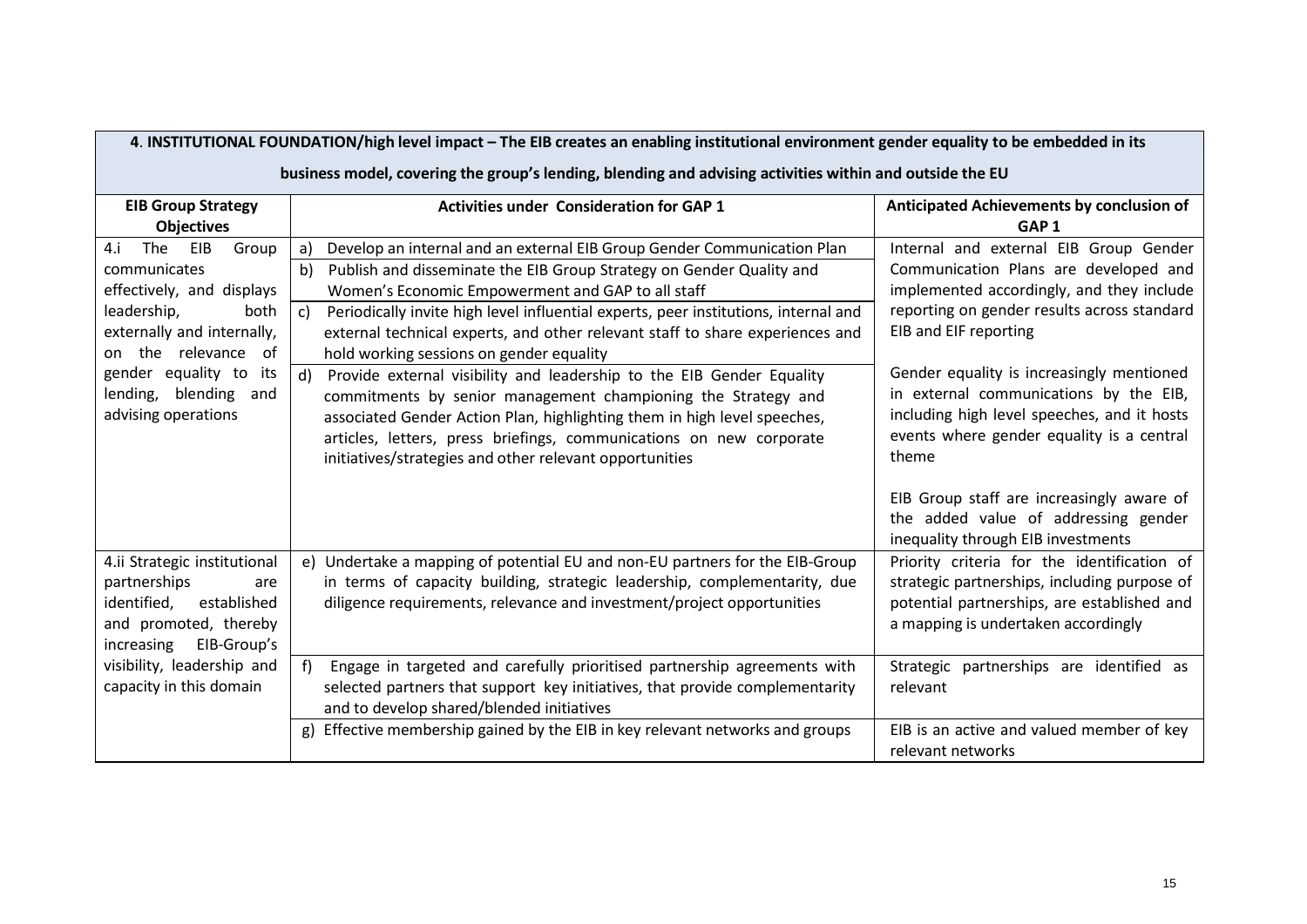| 4. INSTITUTIONAL FOUNDATION/high level impact - The EIB creates an enabling institutional environment gender equality to be embedded in its |                                                                                                     |                                              |
|---------------------------------------------------------------------------------------------------------------------------------------------|-----------------------------------------------------------------------------------------------------|----------------------------------------------|
| business model, covering the group's lending, blending and advising activities within and outside the EU                                    |                                                                                                     |                                              |
| <b>EIB Group Strategy</b>                                                                                                                   | <b>Activities under Consideration for GAP 1</b>                                                     | Anticipated Achievements by conclusion of    |
| <b>Objectives</b>                                                                                                                           |                                                                                                     | GAP <sub>1</sub>                             |
| The<br>EIB<br>Group<br>4.i                                                                                                                  | Develop an internal and an external EIB Group Gender Communication Plan<br>a)                       | Internal and external EIB Group Gender       |
| communicates                                                                                                                                | Publish and disseminate the EIB Group Strategy on Gender Quality and<br>b)                          | Communication Plans are developed and        |
| effectively, and displays                                                                                                                   | Women's Economic Empowerment and GAP to all staff                                                   | implemented accordingly, and they include    |
| leadership,<br>both                                                                                                                         | Periodically invite high level influential experts, peer institutions, internal and<br>$\mathsf{C}$ | reporting on gender results across standard  |
| externally and internally,                                                                                                                  | external technical experts, and other relevant staff to share experiences and                       | EIB and EIF reporting                        |
| on the relevance<br>of                                                                                                                      | hold working sessions on gender equality                                                            |                                              |
| gender equality to<br>its                                                                                                                   | Provide external visibility and leadership to the EIB Gender Equality<br>$\mathsf{d}$               | Gender equality is increasingly mentioned    |
| lending, blending and                                                                                                                       | commitments by senior management championing the Strategy and                                       | in external communications by the EIB,       |
| advising operations                                                                                                                         | associated Gender Action Plan, highlighting them in high level speeches,                            | including high level speeches, and it hosts  |
|                                                                                                                                             | articles, letters, press briefings, communications on new corporate                                 | events where gender equality is a central    |
|                                                                                                                                             | initiatives/strategies and other relevant opportunities                                             | theme                                        |
|                                                                                                                                             |                                                                                                     |                                              |
|                                                                                                                                             |                                                                                                     | EIB Group staff are increasingly aware of    |
|                                                                                                                                             |                                                                                                     | the added value of addressing gender         |
|                                                                                                                                             |                                                                                                     | inequality through EIB investments           |
| 4.ii Strategic institutional                                                                                                                | e) Undertake a mapping of potential EU and non-EU partners for the EIB-Group                        | Priority criteria for the identification of  |
| partnerships<br>are                                                                                                                         | in terms of capacity building, strategic leadership, complementarity, due                           | strategic partnerships, including purpose of |
| identified,<br>established                                                                                                                  | diligence requirements, relevance and investment/project opportunities                              | potential partnerships, are established and  |
| and promoted, thereby                                                                                                                       |                                                                                                     | a mapping is undertaken accordingly          |
| EIB-Group's<br>increasing                                                                                                                   |                                                                                                     |                                              |
| visibility, leadership and                                                                                                                  | Engage in targeted and carefully prioritised partnership agreements with<br>f                       | Strategic partnerships are identified as     |
| capacity in this domain                                                                                                                     | selected partners that support key initiatives, that provide complementarity                        | relevant                                     |
|                                                                                                                                             | and to develop shared/blended initiatives                                                           |                                              |
|                                                                                                                                             | Effective membership gained by the EIB in key relevant networks and groups<br>g)                    | EIB is an active and valued member of key    |
|                                                                                                                                             |                                                                                                     | relevant networks                            |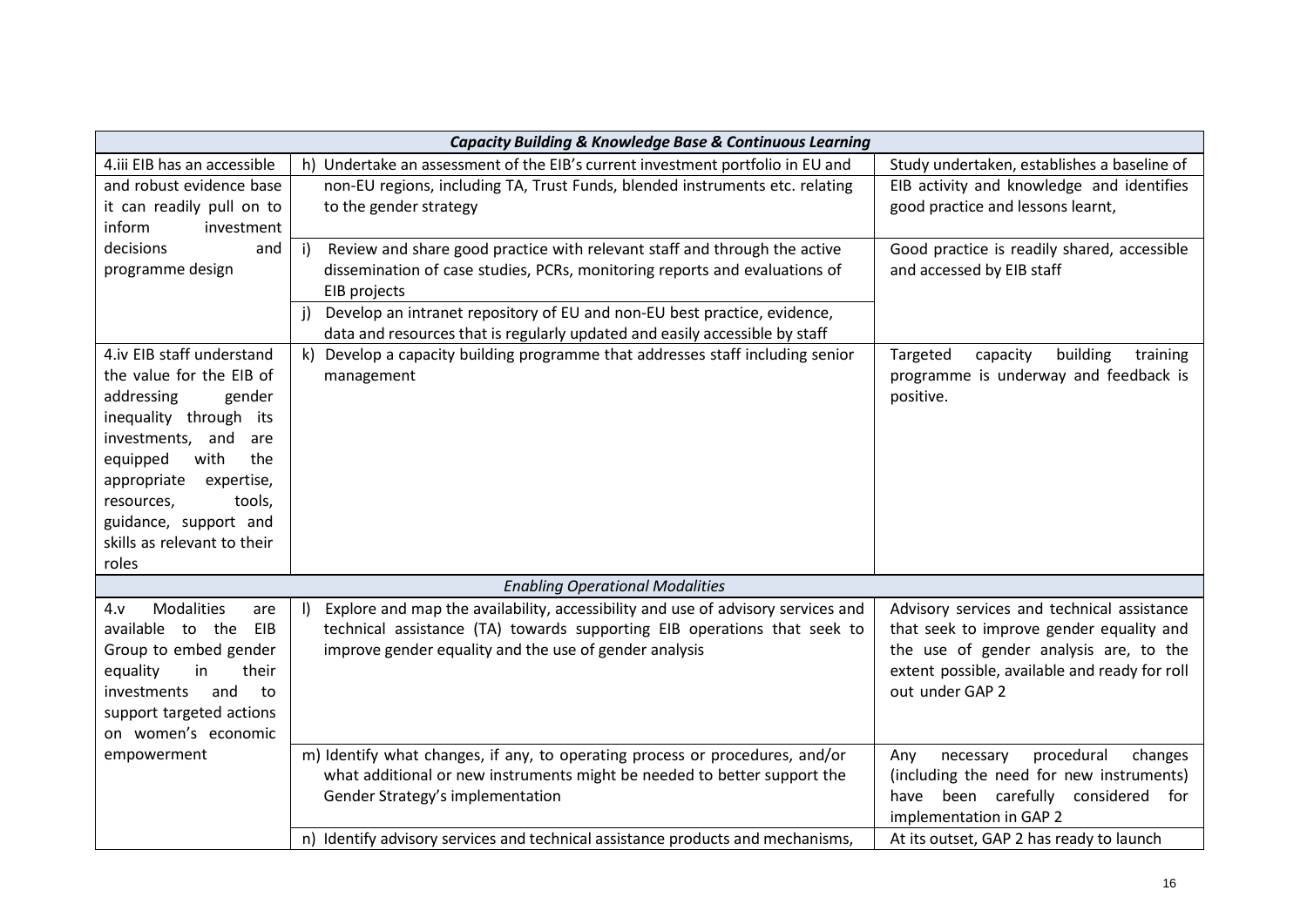|                                                   | <b>Capacity Building &amp; Knowledge Base &amp; Continuous Learning</b>                     |                                               |
|---------------------------------------------------|---------------------------------------------------------------------------------------------|-----------------------------------------------|
| 4.iii EIB has an accessible                       | h) Undertake an assessment of the EIB's current investment portfolio in EU and              | Study undertaken, establishes a baseline of   |
| and robust evidence base                          | non-EU regions, including TA, Trust Funds, blended instruments etc. relating                | EIB activity and knowledge and identifies     |
| it can readily pull on to                         | to the gender strategy                                                                      | good practice and lessons learnt,             |
| inform<br>investment                              |                                                                                             |                                               |
| decisions<br>and                                  | Review and share good practice with relevant staff and through the active<br>i)             | Good practice is readily shared, accessible   |
| programme design                                  | dissemination of case studies, PCRs, monitoring reports and evaluations of                  | and accessed by EIB staff                     |
|                                                   | EIB projects                                                                                |                                               |
|                                                   | Develop an intranet repository of EU and non-EU best practice, evidence,<br>j)              |                                               |
|                                                   | data and resources that is regularly updated and easily accessible by staff                 |                                               |
| 4.iv EIB staff understand                         | k) Develop a capacity building programme that addresses staff including senior              | building<br>training<br>Targeted<br>capacity  |
| the value for the EIB of                          | management                                                                                  | programme is underway and feedback is         |
| addressing<br>gender                              |                                                                                             | positive.                                     |
| inequality through its                            |                                                                                             |                                               |
| investments,<br>and<br>are                        |                                                                                             |                                               |
| with<br>the<br>equipped                           |                                                                                             |                                               |
| appropriate<br>expertise,<br>resources,<br>tools, |                                                                                             |                                               |
| guidance, support and                             |                                                                                             |                                               |
| skills as relevant to their                       |                                                                                             |                                               |
| roles                                             |                                                                                             |                                               |
|                                                   | <b>Enabling Operational Modalities</b>                                                      |                                               |
| <b>Modalities</b><br>4. v<br>are                  | Explore and map the availability, accessibility and use of advisory services and<br>$\vert$ | Advisory services and technical assistance    |
| EIB<br>available to the                           | technical assistance (TA) towards supporting EIB operations that seek to                    | that seek to improve gender equality and      |
| Group to embed gender                             | improve gender equality and the use of gender analysis                                      | the use of gender analysis are, to the        |
| their<br>equality<br>in                           |                                                                                             | extent possible, available and ready for roll |
| investments<br>and<br>to                          |                                                                                             | out under GAP 2                               |
| support targeted actions                          |                                                                                             |                                               |
| on women's economic                               |                                                                                             |                                               |
| empowerment                                       | m) Identify what changes, if any, to operating process or procedures, and/or                | procedural<br>changes<br>Any<br>necessary     |
|                                                   | what additional or new instruments might be needed to better support the                    | (including the need for new instruments)      |
|                                                   | Gender Strategy's implementation                                                            | been carefully considered for<br>have         |
|                                                   |                                                                                             | implementation in GAP 2                       |
|                                                   | n) Identify advisory services and technical assistance products and mechanisms,             | At its outset, GAP 2 has ready to launch      |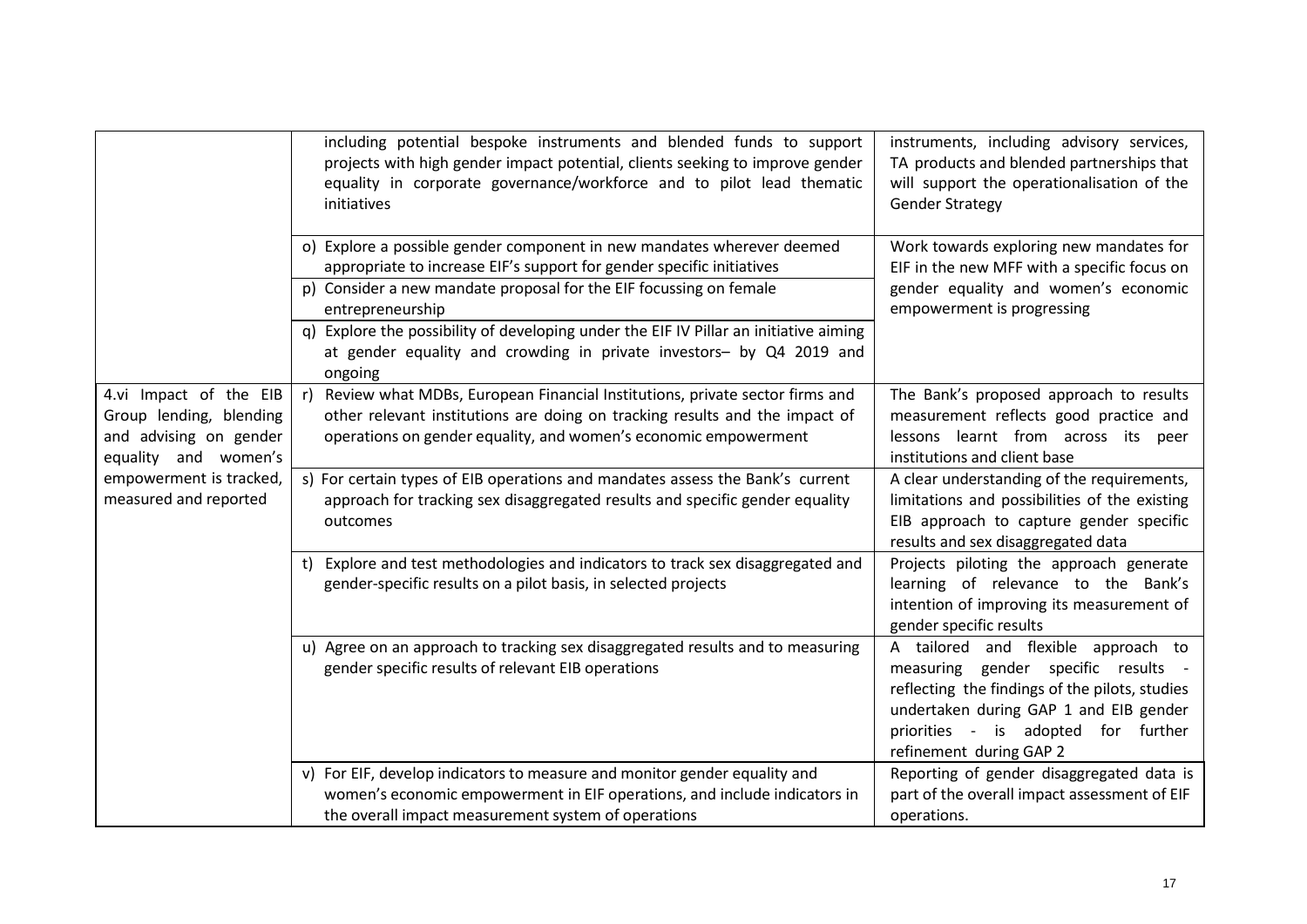|                                                                                                     | including potential bespoke instruments and blended funds to support<br>projects with high gender impact potential, clients seeking to improve gender<br>equality in corporate governance/workforce and to pilot lead thematic<br>initiatives | instruments, including advisory services,<br>TA products and blended partnerships that<br>will support the operationalisation of the<br><b>Gender Strategy</b>                                                                           |
|-----------------------------------------------------------------------------------------------------|-----------------------------------------------------------------------------------------------------------------------------------------------------------------------------------------------------------------------------------------------|------------------------------------------------------------------------------------------------------------------------------------------------------------------------------------------------------------------------------------------|
|                                                                                                     | o) Explore a possible gender component in new mandates wherever deemed<br>appropriate to increase EIF's support for gender specific initiatives                                                                                               | Work towards exploring new mandates for<br>EIF in the new MFF with a specific focus on                                                                                                                                                   |
|                                                                                                     | p) Consider a new mandate proposal for the EIF focussing on female<br>entrepreneurship                                                                                                                                                        | gender equality and women's economic<br>empowerment is progressing                                                                                                                                                                       |
|                                                                                                     | q) Explore the possibility of developing under the EIF IV Pillar an initiative aiming<br>at gender equality and crowding in private investors- by Q4 2019 and<br>ongoing                                                                      |                                                                                                                                                                                                                                          |
| 4.vi Impact of the EIB<br>Group lending, blending<br>and advising on gender<br>equality and women's | Review what MDBs, European Financial Institutions, private sector firms and<br>r)<br>other relevant institutions are doing on tracking results and the impact of<br>operations on gender equality, and women's economic empowerment           | The Bank's proposed approach to results<br>measurement reflects good practice and<br>lessons learnt from across its peer<br>institutions and client base                                                                                 |
| empowerment is tracked,<br>measured and reported                                                    | s) For certain types of EIB operations and mandates assess the Bank's current<br>approach for tracking sex disaggregated results and specific gender equality<br>outcomes                                                                     | A clear understanding of the requirements,<br>limitations and possibilities of the existing<br>EIB approach to capture gender specific<br>results and sex disaggregated data                                                             |
|                                                                                                     | Explore and test methodologies and indicators to track sex disaggregated and<br>t)<br>gender-specific results on a pilot basis, in selected projects                                                                                          | Projects piloting the approach generate<br>learning of relevance to the Bank's<br>intention of improving its measurement of<br>gender specific results                                                                                   |
|                                                                                                     | u) Agree on an approach to tracking sex disaggregated results and to measuring<br>gender specific results of relevant EIB operations                                                                                                          | A tailored and flexible approach to<br>measuring gender specific results -<br>reflecting the findings of the pilots, studies<br>undertaken during GAP 1 and EIB gender<br>priorities - is adopted for further<br>refinement during GAP 2 |
|                                                                                                     | v) For EIF, develop indicators to measure and monitor gender equality and<br>women's economic empowerment in EIF operations, and include indicators in<br>the overall impact measurement system of operations                                 | Reporting of gender disaggregated data is<br>part of the overall impact assessment of EIF<br>operations.                                                                                                                                 |